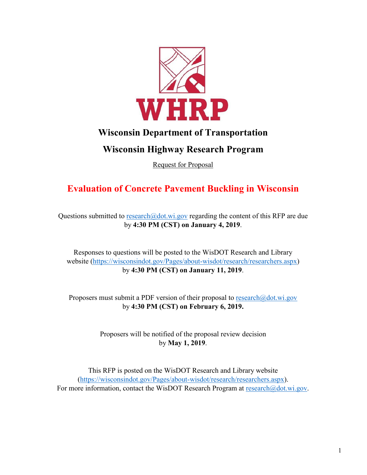

## **Wisconsin Department of Transportation**

## **Wisconsin Highway Research Program**

Request for Proposal

# **Evaluation of Concrete Pavement Buckling in Wisconsin**

Questions submitted to [research@dot.wi.gov](mailto:research@dot.wi.gov) regarding the content of this RFP are due by **4:30 PM (CST) on January 4, 2019**.

Responses to questions will be posted to the WisDOT Research and Library website [\(https://wisconsindot.gov/Pages/about-wisdot/research/researchers.aspx\)](https://wisconsindot.gov/Pages/about-wisdot/research/researchers.aspx) by **4:30 PM (CST) on January 11, 2019**.

Proposers must submit a PDF version of their proposal to  $\text{res}$ earch $\textcircled{a}$ dot.wi.gov by **4:30 PM (CST) on February 6, 2019.**

> Proposers will be notified of the proposal review decision by **May 1, 2019**.

This RFP is posted on the WisDOT Research and Library website [\(https://wisconsindot.gov/Pages/about-wisdot/research/researchers.aspx\)](https://wisconsindot.gov/Pages/about-wisdot/research/researchers.aspx). For more information, contact the WisDOT Research Program at [research@dot.wi.gov.](mailto:research@dot.wi.gov)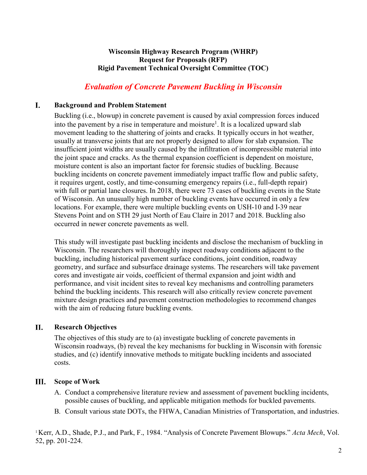### **Wisconsin Highway Research Program (WHRP) Request for Proposals (RFP) Rigid Pavement Technical Oversight Committee (TOC)**

## *Evaluation of Concrete Pavement Buckling in Wisconsin*

#### I. **Background and Problem Statement**

Buckling (i.e., blowup) in concrete pavement is caused by axial compression forces induced into the pavement by a rise in temperature and moisture<sup>1</sup>. It is a localized upward slab movement leading to the shattering of joints and cracks. It typically occurs in hot weather, usually at transverse joints that are not properly designed to allow for slab expansion. The insufficient joint widths are usually caused by the infiltration of incompressible material into the joint space and cracks. As the thermal expansion coefficient is dependent on moisture, moisture content is also an important factor for forensic studies of buckling. Because buckling incidents on concrete pavement immediately impact traffic flow and public safety, it requires urgent, costly, and time-consuming emergency repairs (i.e., full-depth repair) with full or partial lane closures. In 2018, there were 73 cases of buckling events in the State of Wisconsin. An unusually high number of buckling events have occurred in only a few locations. For example, there were multiple buckling events on USH-10 and I-39 near Stevens Point and on STH 29 just North of Eau Claire in 2017 and 2018. Buckling also occurred in newer concrete pavements as well.

This study will investigate past buckling incidents and disclose the mechanism of buckling in Wisconsin. The researchers will thoroughly inspect roadway conditions adjacent to the buckling, including historical pavement surface conditions, joint condition, roadway geometry, and surface and subsurface drainage systems. The researchers will take pavement cores and investigate air voids, coefficient of thermal expansion and joint width and performance, and visit incident sites to reveal key mechanisms and controlling parameters behind the buckling incidents. This research will also critically review concrete pavement mixture design practices and pavement construction methodologies to recommend changes with the aim of reducing future buckling events.

#### II. **Research Objectives**

The objectives of this study are to (a) investigate buckling of concrete pavements in Wisconsin roadways, (b) reveal the key mechanisms for buckling in Wisconsin with forensic studies, and (c) identify innovative methods to mitigate buckling incidents and associated costs.

#### Ш. **Scope of Work**

- A. Conduct a comprehensive literature review and assessment of pavement buckling incidents, possible causes of buckling, and applicable mitigation methods for buckled pavements.
- B. Consult various state DOTs, the FHWA, Canadian Ministries of Transportation, and industries.

1 Kerr, A.D., Shade, P.J., and Park, F., 1984. "Analysis of Concrete Pavement Blowups." *Acta Mech*, Vol. 52, pp. 201-224.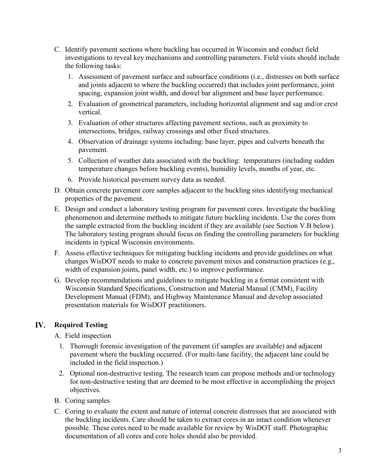- C. Identify pavement sections where buckling has occurred in Wisconsin and conduct field investigations to reveal key mechanisms and controlling parameters. Field visits should include the following tasks:
	- 1. Assessment of pavement surface and subsurface conditions (i.e., distresses on both surface and joints adjacent to where the buckling occurred) that includes joint performance, joint spacing, expansion joint width, and dowel bar alignment and base layer performance.
	- 2. Evaluation of geometrical parameters, including horizontal alignment and sag and/or crest vertical.
	- 3. Evaluation of other structures affecting pavement sections, such as proximity to intersections, bridges, railway crossings and other fixed structures.
	- 4. Observation of drainage systems including: base layer, pipes and culverts beneath the pavement.
	- 5. Collection of weather data associated with the buckling: temperatures (including sudden temperature changes before buckling events), humidity levels, months of year, etc.
	- 6. Provide historical pavement survey data as needed.
- D. Obtain concrete pavement core samples adjacent to the buckling sites identifying mechanical properties of the pavement.
- E. Design and conduct a laboratory testing program for pavement cores. Investigate the buckling phenomenon and determine methods to mitigate future buckling incidents. Use the cores from the sample extracted from the buckling incident if they are available (see Section V.B below). The laboratory testing program should focus on finding the controlling parameters for buckling incidents in typical Wisconsin environments.
- F. Assess effective techniques for mitigating buckling incidents and provide guidelines on what changes WisDOT needs to make to concrete pavement mixes and construction practices (e.g., width of expansion joints, panel width, etc.) to improve performance.
- G. Develop recommendations and guidelines to mitigate buckling in a format consistent with Wisconsin Standard Specifications, Construction and Material Manual (CMM), Facility Development Manual (FDM), and Highway Maintenance Manual and develop associated presentation materials for WisDOT practitioners.

#### **Required Testing** IV.

A. Field inspection

- 1. Thorough forensic investigation of the pavement (if samples are available) and adjacent pavement where the buckling occurred. (For multi-lane facility, the adjacent lane could be included in the field inspection.)
- 2. Optional non-destructive testing. The research team can propose methods and/or technology for non-destructive testing that are deemed to be most effective in accomplishing the project objectives.
- B. Coring samples
- C. Coring to evaluate the extent and nature of internal concrete distresses that are associated with the buckling incidents. Care should be taken to extract cores in an intact condition whenever possible. These cores need to be made available for review by WisDOT staff. Photographic documentation of all cores and core holes should also be provided.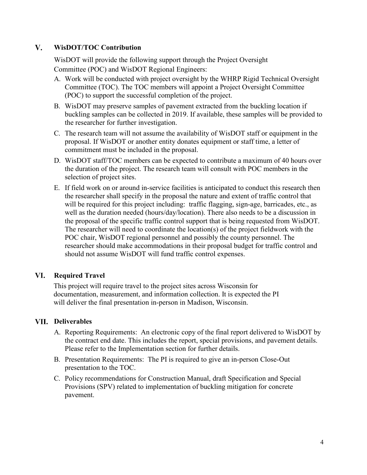#### $V_{\bullet}$ **WisDOT/TOC Contribution**

WisDOT will provide the following support through the Project Oversight Committee (POC) and WisDOT Regional Engineers:

- A. Work will be conducted with project oversight by the WHRP Rigid Technical Oversight Committee (TOC). The TOC members will appoint a Project Oversight Committee (POC) to support the successful completion of the project.
- B. WisDOT may preserve samples of pavement extracted from the buckling location if buckling samples can be collected in 2019. If available, these samples will be provided to the researcher for further investigation.
- C. The research team will not assume the availability of WisDOT staff or equipment in the proposal. If WisDOT or another entity donates equipment or staff time, a letter of commitment must be included in the proposal.
- D. WisDOT staff/TOC members can be expected to contribute a maximum of 40 hours over the duration of the project. The research team will consult with POC members in the selection of project sites.
- E. If field work on or around in-service facilities is anticipated to conduct this research then the researcher shall specify in the proposal the nature and extent of traffic control that will be required for this project including: traffic flagging, sign-age, barricades, etc., as well as the duration needed (hours/day/location). There also needs to be a discussion in the proposal of the specific traffic control support that is being requested from WisDOT. The researcher will need to coordinate the location(s) of the project fieldwork with the POC chair, WisDOT regional personnel and possibly the county personnel. The researcher should make accommodations in their proposal budget for traffic control and should not assume WisDOT will fund traffic control expenses.

#### VI. **Required Travel**

This project will require travel to the project sites across Wisconsin for documentation, measurement, and information collection. It is expected the PI will deliver the final presentation in-person in Madison, Wisconsin.

### **Deliverables**

- A. Reporting Requirements: An electronic copy of the final report delivered to WisDOT by the contract end date. This includes the report, special provisions, and pavement details. Please refer to the Implementation section for further details.
- B. Presentation Requirements: The PI is required to give an in-person Close-Out presentation to the TOC.
- C. Policy recommendations for Construction Manual, draft Specification and Special Provisions (SPV) related to implementation of buckling mitigation for concrete pavement.